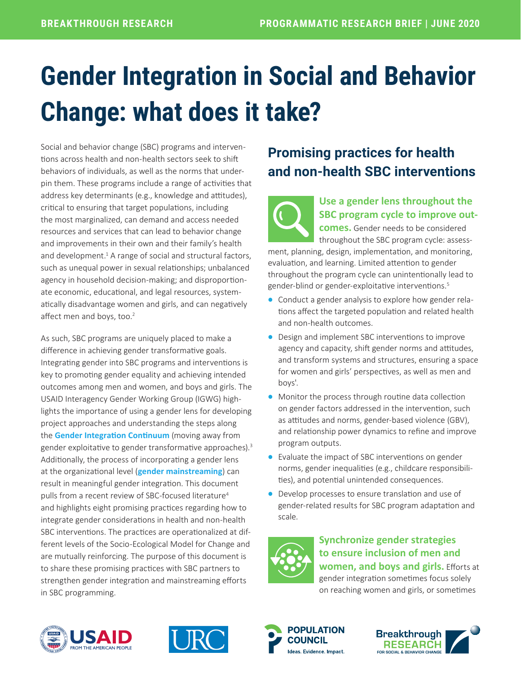# **Gender Integration in Social and Behavior Change: what does it take?**

Social and behavior change (SBC) programs and interventions across health and non-health sectors seek to shift behaviors of individuals, as well as the norms that underpin them. These programs include a range of activities that address key determinants (e.g., knowledge and attitudes), critical to ensuring that target populations, including the most marginalized, can demand and access needed resources and services that can lead to behavior change and improvements in their own and their family's health and development. $1$  A range of social and structural factors, such as unequal power in sexual relationships; unbalanced agency in household decision-making; and disproportionate economic, educational, and legal resources, systematically disadvantage women and girls, and can negatively affect men and boys, too.<sup>2</sup>

As such, SBC programs are uniquely placed to make a difference in achieving gender transformative goals. Integrating gender into SBC programs and interventions is key to promoting gender equality and achieving intended outcomes among men and women, and boys and girls. The USAID Interagency Gender Working Group (IGWG) highlights the importance of using a gender lens for developing project approaches and understanding the steps along the **[Gender Integration Continuum](https://www.igwg.org/wp-content/uploads/2017/05/Gender-Continuum-PowerPoint_final.pdf)** (moving away from gender exploitative to gender transformative approaches).<sup>3</sup> Additionally, the process of incorporating a gender lens at the organizational level (**[gender mainstreaming](https://www.igwg.org/wp-content/uploads/2017/05/DefinGenderRelatedTerms.pdf)**) can result in meaningful gender integration. This document pulls from a recent review of SBC-focused literature<sup>4</sup> and highlights eight promising practices regarding how to integrate gender considerations in health and non-health SBC interventions. The practices are operationalized at different levels of the Socio-Ecological Model for Change and are mutually reinforcing. The purpose of this document is to share these promising practices with SBC partners to strengthen gender integration and mainstreaming efforts in SBC programming.

# **Promising practices for health and non-health SBC interventions**



### **Use a [gender lens](https://www.igwg.org/wp-content/uploads/2017/05/FG_GendrIntegrContinuum.pdf) throughout the SBC program cycle to improve out-**

**comes.** Gender needs to be considered throughout the SBC program cycle: assess-

ment, planning, design, implementation, and monitoring, evaluation, and learning. Limited attention to gender throughout the program cycle can unintentionally lead to gender-blind or gender-exploitative interventions.<sup>5</sup>

- Conduct a gender analysis to explore how gender relations affect the targeted population and related health and non-health outcomes.
- Design and implement SBC interventions to improve agency and capacity, shift gender norms and attitudes, and transform systems and structures, ensuring a space for women and girls' perspectives, as well as men and boys'.
- Monitor the process through routine data collection on gender factors addressed in the intervention, such as attitudes and norms, gender-based violence (GBV), and relationship power dynamics to refine and improve program outputs.
- Evaluate the impact of SBC interventions on gender norms, gender inequalities (e.g., childcare responsibilities), and potential unintended consequences.
- Develop processes to ensure translation and use of gender-related results for SBC program adaptation and scale.



#### **Synchronize gender strategies to ensure inclusion of men and women, and boys and girls.** Efforts at gender integration sometimes focus solely on reaching women and girls, or sometimes







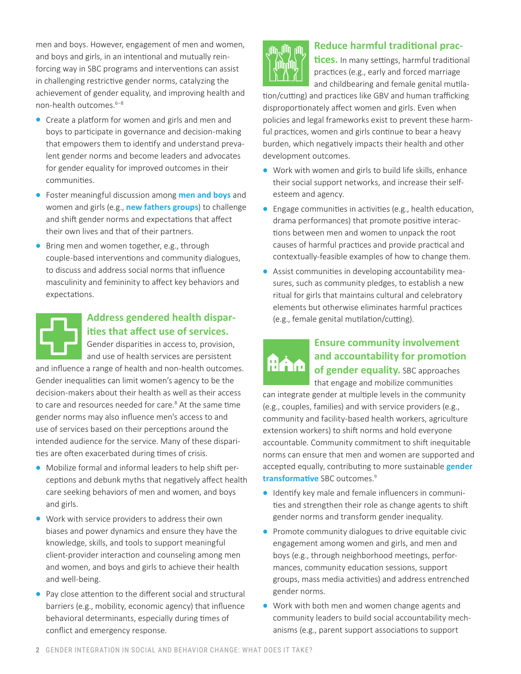men and boys. However, engagement of men and women, and boys and girls, in an intentional and mutually reinforcing way in SBC programs and interventions can assist in challenging restrictive gender norms, catalyzing the achievement of gender equality, and improving health and non-health outcomes.<sup>6-8</sup>

- Create a platform for women and girls and men and boys to participate in governance and decision-making that empowers them to identify and understand prevalent gender norms and become leaders and advocates for gender equality for improved outcomes in their communities.
- Foster meaningful discussion among **[men and boys](https://www.igwg.org/wp-content/uploads/2020/01/Male-Engagement_DosDonts_Final.pdf)** and women and girls (e.g., **[new fathers groups](http://irh.org/resource-library/real-fathers-mentor-curricula/)**) to challenge and shift gender norms and expectations that affect their own lives and that of their partners.
- Bring men and women together, e.g., through couple-based interventions and community dialogues, to discuss and address social norms that influence masculinity and femininity to affect key behaviors and expectations.



#### **Address gendered health disparities that affect use of services.**

Gender disparities in access to, provision,

and use of health services are persistent and influence a range of health and non-health outcomes. Gender inequalities can limit women's agency to be the decision-makers about their health as well as their access to care and resources needed for care.<sup>8</sup> At the same time gender norms may also influence men's access to and use of services based on their perceptions around the intended audience for the service. Many of these disparities are often exacerbated during times of crisis.

- Mobilize formal and informal leaders to help shift perceptions and debunk myths that negatively affect health care seeking behaviors of men and women, and boys and girls.
- Work with service providers to address their own biases and power dynamics and ensure they have the knowledge, skills, and tools to support meaningful client-provider interaction and counseling among men and women, and boys and girls to achieve their health and well-being.
- Pay close attention to the different social and structural barriers (e.g., mobility, economic agency) that influence behavioral determinants, especially during times of conflict and emergency response.



#### **Reduce harmful traditional prac-**

**tices.** In many settings, harmful traditional practices (e.g., early and forced marriage and childbearing and female genital mutila-

tion/cutting) and practices like GBV and human trafficking disproportionately affect women and girls. Even when policies and legal frameworks exist to prevent these harmful practices, women and girls continue to bear a heavy burden, which negatively impacts their health and other development outcomes.

- Work with women and girls to build life skills, enhance their social support networks, and increase their selfesteem and agency.
- Engage communities in activities (e.g., health education, drama performances) that promote positive interactions between men and women to unpack the root causes of harmful practices and provide practical and contextually-feasible examples of how to change them.
- Assist communities in developing accountability measures, such as community pledges, to establish a new ritual for girls that maintains cultural and celebratory elements but otherwise eliminates harmful practices (e.g., female genital mutilation/cutting).

# **And**

#### **Ensure community involvement and accountability for promotion of gender equality.** SBC approaches

that engage and mobilize communities can integrate gender at multiple levels in the community (e.g., couples, families) and with service providers (e.g., community and facility-based health workers, agriculture extension workers) to shift norms and hold everyone accountable. Community commitment to shift inequitable norms can ensure that men and women are supported and accepted equally, contributing to more sustainable **[gender](https://www.igwg.org/wp-content/uploads/2017/05/Gender-Continuum-PowerPoint_final.pdf)  [transformative](https://www.igwg.org/wp-content/uploads/2017/05/Gender-Continuum-PowerPoint_final.pdf)** SBC outcomes.9

- Identify key male and female influencers in communities and strengthen their role as change agents to shift gender norms and transform gender inequality.
- Promote community dialogues to drive equitable civic engagement among women and girls, and men and boys (e.g., through neighborhood meetings, performances, community education sessions, support groups, mass media activities) and address entrenched gender norms.
- Work with both men and women change agents and community leaders to build social accountability mechanisms (e.g., parent support associations to support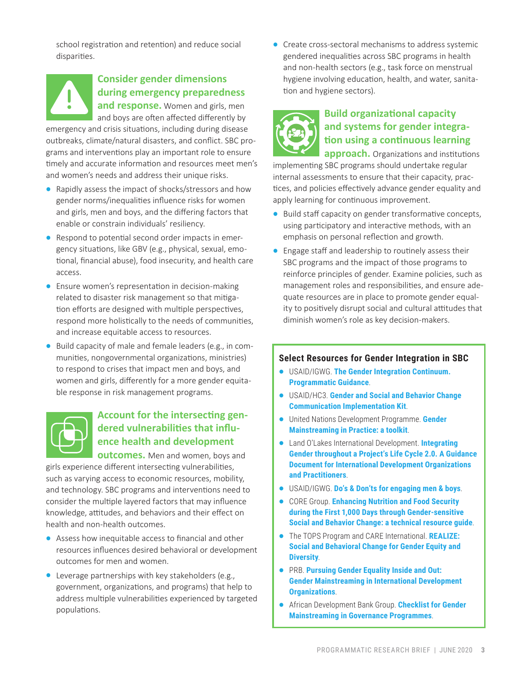school registration and retention) and reduce social disparities.



#### **Consider gender dimensions during emergency preparedness**

**and response.** Women and girls, men and boys are often affected differently by

emergency and crisis situations, including during disease outbreaks, climate/natural disasters, and conflict. SBC programs and interventions play an important role to ensure timely and accurate information and resources meet men's and women's needs and address their unique risks.

- Rapidly assess the impact of shocks/stressors and how gender norms/inequalities influence risks for women and girls, men and boys, and the differing factors that enable or constrain individuals' resiliency.
- Respond to potential second order impacts in emergency situations, like GBV (e.g., physical, sexual, emotional, financial abuse), food insecurity, and health care access.
- Ensure women's representation in decision-making related to disaster risk management so that mitigation efforts are designed with multiple perspectives, respond more holistically to the needs of communities, and increase equitable access to resources.
- Build capacity of male and female leaders (e.g., in communities, nongovernmental organizations, ministries) to respond to crises that impact men and boys, and women and girls, differently for a more gender equitable response in risk management programs.



#### **Account for the intersecting gendered vulnerabilities that influence health and development**

**outcomes.** Men and women, boys and

girls experience different intersecting vulnerabilities, such as varying access to economic resources, mobility, and technology. SBC programs and interventions need to consider the multiple layered factors that may influence knowledge, attitudes, and behaviors and their effect on health and non-health outcomes.

- Assess how inequitable access to financial and other resources influences desired behavioral or development outcomes for men and women.
- Leverage partnerships with key stakeholders (e.g., government, organizations, and programs) that help to address multiple vulnerabilities experienced by targeted populations.

• Create cross-sectoral mechanisms to address systemic gendered inequalities across SBC programs in health and non-health sectors (e.g., task force on menstrual hygiene involving education, health, and water, sanitation and hygiene sectors).



#### **Build organizational capacity and systems for gender integration using a continuous learning**

**approach.** Organizations and institutions implementing SBC programs should undertake regular internal assessments to ensure that their capacity, practices, and policies effectively advance gender equality and apply learning for continuous improvement.

- Build staff capacity on gender transformative concepts, using participatory and interactive methods, with an emphasis on personal reflection and growth.
- Engage staff and leadership to routinely assess their SBC programs and the impact of those programs to reinforce principles of gender. Examine policies, such as management roles and responsibilities, and ensure adequate resources are in place to promote gender equality to positively disrupt social and cultural attitudes that diminish women's role as key decision-makers.

#### **Select Resources for Gender Integration in SBC**

- USAID/IGWG. **[The Gender Integration Continuum.](https://www.igwg.org/training/programmatic-guidance/)  [Programmatic Guidance](https://www.igwg.org/training/programmatic-guidance/)**.
- USAID/HC3. **[Gender and Social and Behavior Change](https://sbccimplementationkits.org/gender/courses/gender-and-social-and-behavior-change-communication/)  [Communication Implementation Kit](https://sbccimplementationkits.org/gender/courses/gender-and-social-and-behavior-change-communication/)**.
- United Nations Development Programme. **[Gender](https://www.kg.undp.org/content/dam/kyrgyzstan/Publications/gender/kgz-gender-mainstreaming-toolkit-eng.pdf)  [Mainstreaming in Practice: a toolkit](https://www.kg.undp.org/content/dam/kyrgyzstan/Publications/gender/kgz-gender-mainstreaming-toolkit-eng.pdf)**.
- Land O'Lakes International Development. **[Integrating](https://www.spring-nutrition.org/publications/tool-summaries/integrating-gender-throughout-projects-lifecycle)  [Gender throughout a Project's Life Cycle 2.0. A Guidance](https://www.spring-nutrition.org/publications/tool-summaries/integrating-gender-throughout-projects-lifecycle)  [Document for International Development Organizations](https://www.spring-nutrition.org/publications/tool-summaries/integrating-gender-throughout-projects-lifecycle)  [and Practitioners](https://www.spring-nutrition.org/publications/tool-summaries/integrating-gender-throughout-projects-lifecycle)**.
- USAID/IGWG. **[Do's & Don'ts for engaging men & boys](https://www.igwg.org/wp-content/uploads/2020/01/Male-Engagement_DosDonts_Final.pdf)**.
- CORE Group. **[Enhancing Nutrition and Food Security](https://coregroup.org/wp-content/uploads/media-backup/documents/Resources/Tools/Gender_Sensitive_SBC_Tech_Resource_Guide_Final.pdf)  [during the First 1,000 Days through Gender-sensitive](https://coregroup.org/wp-content/uploads/media-backup/documents/Resources/Tools/Gender_Sensitive_SBC_Tech_Resource_Guide_Final.pdf)  [Social and Behavior Change: a technical resource guide](https://coregroup.org/wp-content/uploads/media-backup/documents/Resources/Tools/Gender_Sensitive_SBC_Tech_Resource_Guide_Final.pdf)**.
- The TOPS Program and CARE International. **[REALIZE:](https://coregroup.org/wp-content/uploads/2017/09/REALIZE.pdf)  [Social and Behavioral Change for Gender Equity and](https://coregroup.org/wp-content/uploads/2017/09/REALIZE.pdf)  [Diversity](https://coregroup.org/wp-content/uploads/2017/09/REALIZE.pdf)**.
- PRB. **[Pursuing Gender Equality Inside and Out:](https://stage.prb.org/wp-content/uploads/2015/03/gender-mainstreaming.pdf)  [Gender Mainstreaming in International Development](https://stage.prb.org/wp-content/uploads/2015/03/gender-mainstreaming.pdf)  [Organizations](https://stage.prb.org/wp-content/uploads/2015/03/gender-mainstreaming.pdf)**.
- African Development Bank Group. **[Checklist for Gender](https://www.afdb.org/fileadmin/uploads/afdb/Documents/Policy-Documents/Checklist for Gender Mainstreaming in Governance Programmes EN.pdf)  [Mainstreaming in Governance Programmes](https://www.afdb.org/fileadmin/uploads/afdb/Documents/Policy-Documents/Checklist for Gender Mainstreaming in Governance Programmes EN.pdf)**.